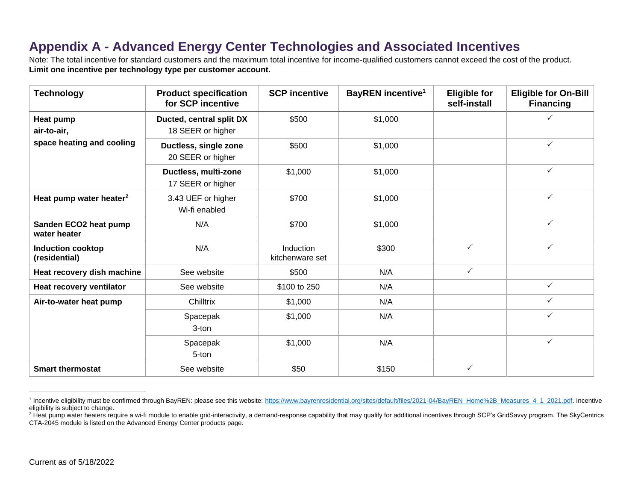## **Appendix A - Advanced Energy Center Technologies and Associated Incentives**

Note: The total incentive for standard customers and the maximum total incentive for income-qualified customers cannot exceed the cost of the product. **Limit one incentive per technology type per customer account.**

| <b>Technology</b>                                     | <b>Product specification</b><br>for SCP incentive | <b>SCP</b> incentive         | <b>BayREN</b> incentive <sup>1</sup> | <b>Eligible for</b><br>self-install | <b>Eligible for On-Bill</b><br><b>Financing</b> |
|-------------------------------------------------------|---------------------------------------------------|------------------------------|--------------------------------------|-------------------------------------|-------------------------------------------------|
| Heat pump<br>air-to-air,<br>space heating and cooling | Ducted, central split DX<br>18 SEER or higher     | \$500                        | \$1,000                              |                                     | ✓                                               |
|                                                       | Ductless, single zone<br>20 SEER or higher        | \$500                        | \$1,000                              |                                     | $\checkmark$                                    |
|                                                       | Ductless, multi-zone<br>17 SEER or higher         | \$1,000                      | \$1,000                              |                                     | $\checkmark$                                    |
| Heat pump water heater <sup>2</sup>                   | 3.43 UEF or higher<br>Wi-fi enabled               | \$700                        | \$1,000                              |                                     | $\checkmark$                                    |
| Sanden ECO2 heat pump<br>water heater                 | N/A                                               | \$700                        | \$1,000                              |                                     | $\checkmark$                                    |
| <b>Induction cooktop</b><br>(residential)             | N/A                                               | Induction<br>kitchenware set | \$300                                | $\checkmark$                        | $\checkmark$                                    |
| Heat recovery dish machine                            | See website                                       | \$500                        | N/A                                  | $\checkmark$                        |                                                 |
| Heat recovery ventilator                              | See website                                       | \$100 to 250                 | N/A                                  |                                     | $\checkmark$                                    |
| Air-to-water heat pump                                | Chilltrix                                         | \$1,000                      | N/A                                  |                                     | $\checkmark$                                    |
|                                                       | Spacepak<br>3-ton                                 | \$1,000                      | N/A                                  |                                     | $\checkmark$                                    |
|                                                       | Spacepak<br>5-ton                                 | \$1,000                      | N/A                                  |                                     | $\checkmark$                                    |
| <b>Smart thermostat</b>                               | See website                                       | \$50                         | \$150                                | $\checkmark$                        |                                                 |

<sup>&</sup>lt;sup>1</sup> Incentive eligibility must be confirmed through BayREN: please see this website: [https://www.bayrenresidential.org/sites/default/files/2021-04/BayREN\\_Home%2B\\_Measures\\_4\\_1\\_2021.pdf.](https://www.bayrenresidential.org/sites/default/files/2021-04/BayREN_Home%2B_Measures_4_1_2021.pdf) Incentive eligibility is subject to change.

<sup>&</sup>lt;sup>2</sup> Heat pump water heaters require a wi-fi module to enable grid-interactivity, a demand-response capability that may qualify for additional incentives through SCP's GridSavvy program. The SkyCentrics CTA-2045 module is listed on the Advanced Energy Center products page.